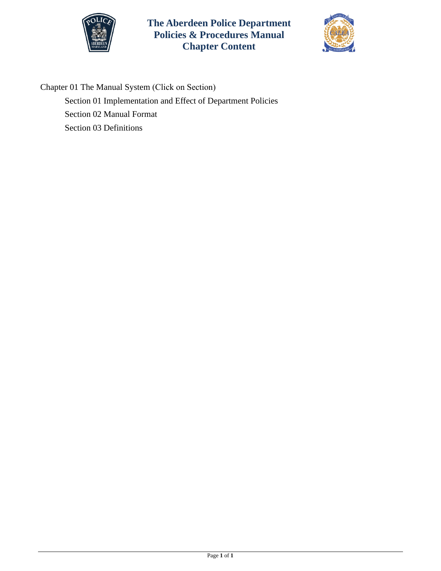

**The Aberdeen Police Department Policies & Procedures Manual Chapter Content**



Chapter 01 The Manual System (Click on Section) [Section 01 Implementation and Effect of Department Policies](#page-1-0)  [Section 02 Manual Format](#page-3-0)  [Section 03 Definitions](#page-4-0)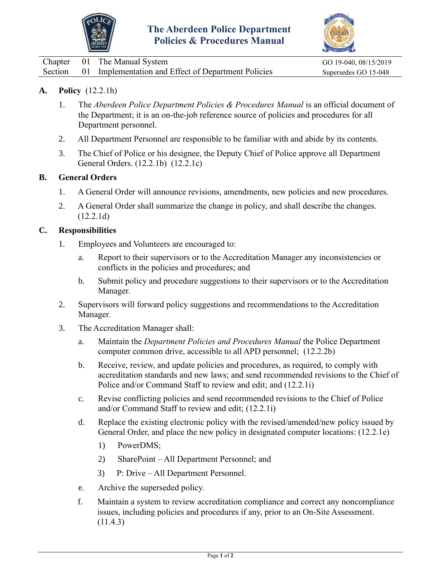



<span id="page-1-0"></span>

|  | Chapter 01 The Manual System                                | GO 19-040, 08/15/2019 |
|--|-------------------------------------------------------------|-----------------------|
|  | Section 01 Implementation and Effect of Department Policies | Supersedes GO 15-048  |

## **A. Policy** (12.2.1h)

- 1. The *Aberdeen Police Department Policies & Procedures Manual* is an official document of the Department; it is an on-the-job reference source of policies and procedures for all Department personnel.
- 2. All Department Personnel are responsible to be familiar with and abide by its contents.
- 3. The Chief of Police or his designee, the Deputy Chief of Police approve all Department General Orders. (12.2.1b) (12.2.1c)

#### **B. General Orders**

- 1. A General Order will announce revisions, amendments, new policies and new procedures.
- 2. A General Order shall summarize the change in policy, and shall describe the changes. (12.2.1d)

#### **C. Responsibilities**

- 1. Employees and Volunteers are encouraged to:
	- a. Report to their supervisors or to the Accreditation Manager any inconsistencies or conflicts in the policies and procedures; and
	- b. Submit policy and procedure suggestions to their supervisors or to the Accreditation Manager.
- 2. Supervisors will forward policy suggestions and recommendations to the Accreditation Manager.
- 3. The Accreditation Manager shall:
	- a. Maintain the *Department Policies and Procedures Manual* the Police Department computer common drive, accessible to all APD personnel; (12.2.2b)
	- b. Receive, review, and update policies and procedures, as required, to comply with accreditation standards and new laws; and send recommended revisions to the Chief of Police and/or Command Staff to review and edit; and (12.2.1i)
	- c. Revise conflicting policies and send recommended revisions to the Chief of Police and/or Command Staff to review and edit; (12.2.1i)
	- d. Replace the existing electronic policy with the revised/amended/new policy issued by General Order, and place the new policy in designated computer locations: (12.2.1e)
		- 1) PowerDMS;
		- 2) SharePoint All Department Personnel; and
		- 3) P: Drive All Department Personnel.
	- e. Archive the superseded policy.
	- f. Maintain a system to review accreditation compliance and correct any noncompliance issues, including policies and procedures if any, prior to an On-Site Assessment. (11.4.3)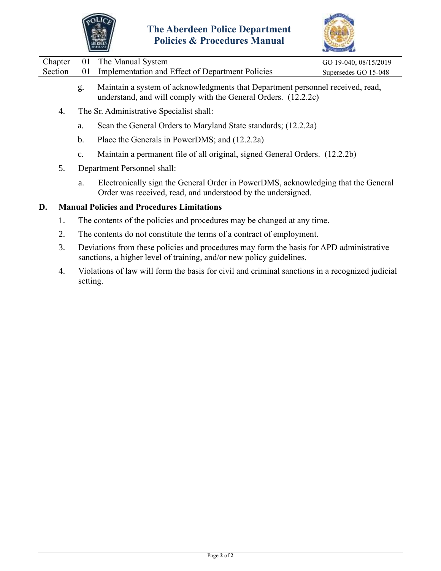



|  | Chapter 01 The Manual System                                                                                                               | GO 19-040, 08/15/2019 |
|--|--------------------------------------------------------------------------------------------------------------------------------------------|-----------------------|
|  | Section 01 Implementation and Effect of Department Policies                                                                                | Supersedes GO 15-048  |
|  | $M_{\rm c}$ (a.g. ) and consider the $\ell$ - $1$ and $-1$ and $1$ and $1$ and $N_{\rm c}$ and $\ell$ are also been denoted in $1$ and $1$ |                       |

- g. Maintain a system of acknowledgments that Department personnel received, read, understand, and will comply with the General Orders. (12.2.2c)
- 4. The Sr. Administrative Specialist shall:
	- a. Scan the General Orders to Maryland State standards; (12.2.2a)
	- b. Place the Generals in PowerDMS; and (12.2.2a)
	- c. Maintain a permanent file of all original, signed General Orders. (12.2.2b)
- 5. Department Personnel shall:
	- a. Electronically sign the General Order in PowerDMS, acknowledging that the General Order was received, read, and understood by the undersigned.

#### **D. Manual Policies and Procedures Limitations**

- 1. The contents of the policies and procedures may be changed at any time.
- 2. The contents do not constitute the terms of a contract of employment.
- 3. Deviations from these policies and procedures may form the basis for APD administrative sanctions, a higher level of training, and/or new policy guidelines.
- 4. Violations of law will form the basis for civil and criminal sanctions in a recognized judicial setting.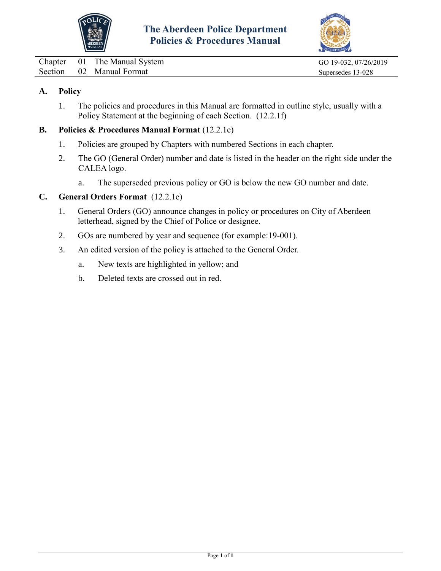



<span id="page-3-0"></span>Chapter 01 The Manual System GO 19-032, 07/26/2019 Section 02 Manual Format Supersedes 13-028

# **A. Policy**

1. The policies and procedures in this Manual are formatted in outline style, usually with a Policy Statement at the beginning of each Section. (12.2.1f)

### **B. Policies & Procedures Manual Format** (12.2.1e)

- 1. Policies are grouped by Chapters with numbered Sections in each chapter.
- 2. The GO (General Order) number and date is listed in the header on the right side under the CALEA logo.
	- a. The superseded previous policy or GO is below the new GO number and date.

## **C. General Orders Format** (12.2.1e)

- 1. General Orders (GO) announce changes in policy or procedures on City of Aberdeen letterhead, signed by the Chief of Police or designee.
- 2. GOs are numbered by year and sequence (for example:19-001).
- 3. An edited version of the policy is attached to the General Order.
	- a. New texts are highlighted in yellow; and
	- b. Deleted texts are crossed out in red.